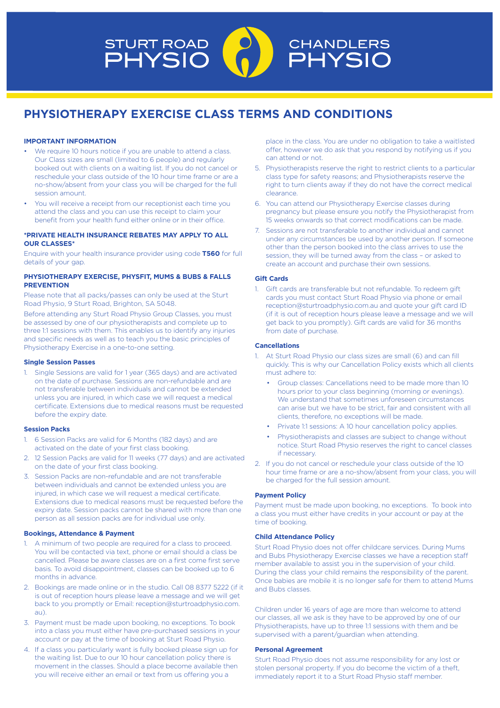# STURT ROAD<br>PHYSIO CHANDLERS **PHYSK**

# **PHYSIOTHERAPY EXERCISE CLASS TERMS AND CONDITIONS**

# **IMPORTANT INFORMATION**

- We require 10 hours notice if you are unable to attend a class. Our Class sizes are small (limited to 6 people) and regularly booked out with clients on a waiting list. If you do not cancel or reschedule your class outside of the 10 hour time frame or are a no-show/absent from your class you will be charged for the full session amount.
- You will receive a receipt from our receptionist each time you attend the class and you can use this receipt to claim your benefit from your health fund either online or in their office.

# **\*PRIVATE HEALTH INSURANCE REBATES MAY APPLY TO ALL OUR CLASSES\***

Enquire with your health insurance provider using code **T560** for full details of your gap.

#### **PHYSIOTHERAPY EXERCISE, PHYSFIT, MUMS & BUBS & FALLS PREVENTION**

Please note that all packs/passes can only be used at the Sturt Road Physio, 9 Sturt Road, Brighton, SA 5048.

Before attending any Sturt Road Physio Group Classes, you must be assessed by one of our physiotherapists and complete up to three 1:1 sessions with them. This enables us to identify any injuries and specific needs as well as to teach you the basic principles of Physiotherapy Exercise in a one-to-one setting.

# **Single Session Passes**

1. Single Sessions are valid for 1 year (365 days) and are activated on the date of purchase. Sessions are non-refundable and are not transferable between individuals and cannot be extended unless you are injured, in which case we will request a medical certificate. Extensions due to medical reasons must be requested before the expiry date.

# **Session Packs**

- 1. 6 Session Packs are valid for 6 Months (182 days) and are activated on the date of your first class booking.
- 2. 12 Session Packs are valid for 11 weeks (77 days) and are activated on the date of your first class booking.
- 3. Session Packs are non-refundable and are not transferable between individuals and cannot be extended unless you are injured, in which case we will request a medical certificate. Extensions due to medical reasons must be requested before the expiry date. Session packs cannot be shared with more than one person as all session packs are for individual use only.

#### **Bookings, Attendance & Payment**

- 1. A minimum of two people are required for a class to proceed. You will be contacted via text, phone or email should a class be cancelled. Please be aware classes are on a first come first serve basis. To avoid disappointment, classes can be booked up to 6 months in advance.
- 2. Bookings are made online or in the studio. Call 08 8377 5222 (if it is out of reception hours please leave a message and we will get back to you promptly or Email: reception@sturtroadphysio.com. au).
- 3. Payment must be made upon booking, no exceptions. To book into a class you must either have pre-purchased sessions in your account or pay at the time of booking at Sturt Road Physio.
- 4. If a class you particularly want is fully booked please sign up for the waiting list. Due to our 10 hour cancellation policy there is movement in the classes. Should a place become available then you will receive either an email or text from us offering you a

place in the class. You are under no obligation to take a waitlisted offer, however we do ask that you respond by notifying us if you can attend or not.

- 5. Physiotherapists reserve the right to restrict clients to a particular class type for safety reasons; and Physiotherapists reserve the right to turn clients away if they do not have the correct medical clearance.
- 6. You can attend our Physiotherapy Exercise classes during pregnancy but please ensure you notify the Physiotherapist from 15 weeks onwards so that correct modifications can be made.
- 7. Sessions are not transferable to another individual and cannot under any circumstances be used by another person. If someone other than the person booked into the class arrives to use the session, they will be turned away from the class – or asked to create an account and purchase their own sessions.

#### **Gift Cards**

1. Gift cards are transferable but not refundable. To redeem gift cards you must contact Sturt Road Physio via phone or email reception@sturtroadphysio.com.au and quote your gift card ID (if it is out of reception hours please leave a message and we will get back to you promptly). Gift cards are valid for 36 months from date of purchase.

# **Cancellations**

- 1. At Sturt Road Physio our class sizes are small (6) and can fill quickly. This is why our Cancellation Policy exists which all clients must adhere to:
	- Group classes: Cancellations need to be made more than 10 hours prior to your class beginning (morning or evenings). We understand that sometimes unforeseen circumstances can arise but we have to be strict, fair and consistent with all clients, therefore, no exceptions will be made.
	- Private 1:1 sessions: A 10 hour cancellation policy applies.
	- Physiotherapists and classes are subject to change without notice. Sturt Road Physio reserves the right to cancel classes if necessary.
- 2. If you do not cancel or reschedule your class outside of the 10 hour time frame or are a no-show/absent from your class, you will be charged for the full session amount.

#### **Payment Policy**

Payment must be made upon booking, no exceptions. To book into a class you must either have credits in your account or pay at the time of booking.

# **Child Attendance Policy**

Sturt Road Physio does not offer childcare services. During Mums and Bubs Physiotherapy Exercise classes we have a reception staff member available to assist you in the supervision of your child. During the class your child remains the responsibility of the parent. Once babies are mobile it is no longer safe for them to attend Mums and Bubs classes.

Children under 16 years of age are more than welcome to attend our classes, all we ask is they have to be approved by one of our Physiotherapists, have up to three 1:1 sessions with them and be supervised with a parent/guardian when attending.

# **Personal Agreement**

Sturt Road Physio does not assume responsibility for any lost or stolen personal property. If you do become the victim of a theft, immediately report it to a Sturt Road Physio staff member.